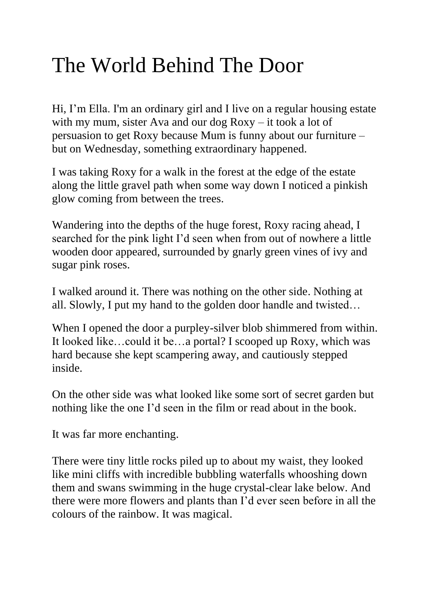## The World Behind The Door

Hi, I'm Ella. I'm an ordinary girl and I live on a regular housing estate with my mum, sister Ava and our dog Roxy – it took a lot of persuasion to get Roxy because Mum is funny about our furniture – but on Wednesday, something extraordinary happened.

I was taking Roxy for a walk in the forest at the edge of the estate along the little gravel path when some way down I noticed a pinkish glow coming from between the trees.

Wandering into the depths of the huge forest, Roxy racing ahead, I searched for the pink light I'd seen when from out of nowhere a little wooden door appeared, surrounded by gnarly green vines of ivy and sugar pink roses.

I walked around it. There was nothing on the other side. Nothing at all. Slowly, I put my hand to the golden door handle and twisted…

When I opened the door a purpley-silver blob shimmered from within. It looked like…could it be…a portal? I scooped up Roxy, which was hard because she kept scampering away, and cautiously stepped inside.

On the other side was what looked like some sort of secret garden but nothing like the one I'd seen in the film or read about in the book.

It was far more enchanting.

There were tiny little rocks piled up to about my waist, they looked like mini cliffs with incredible bubbling waterfalls whooshing down them and swans swimming in the huge crystal-clear lake below. And there were more flowers and plants than I'd ever seen before in all the colours of the rainbow. It was magical.